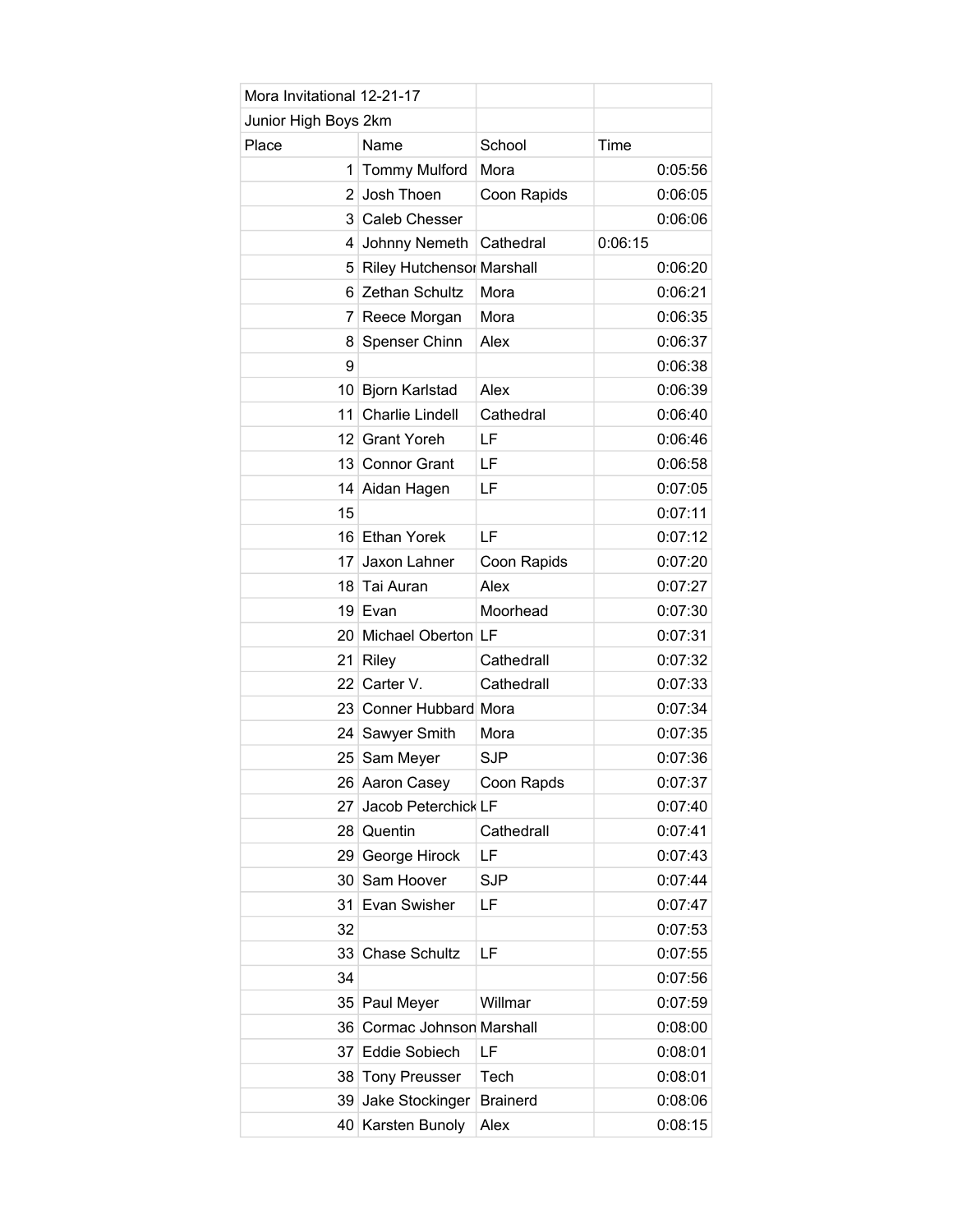| Mora Invitational 12-21-17 |                             |                 |         |
|----------------------------|-----------------------------|-----------------|---------|
| Junior High Boys 2km       |                             |                 |         |
| Place                      | Name                        | School          | Time    |
| 1                          | <b>Tommy Mulford</b>        | Mora            | 0:05:56 |
| 2                          | Josh Thoen                  | Coon Rapids     | 0:06:05 |
|                            | 3 Caleb Chesser             |                 | 0:06:06 |
| 4                          | Johnny Nemeth               | Cathedral       | 0:06:15 |
|                            | 5 Riley Hutchensor Marshall |                 | 0:06:20 |
| 6                          | Zethan Schultz              | Mora            | 0:06:21 |
| 7                          | Reece Morgan                | Mora            | 0:06:35 |
| 8                          | Spenser Chinn               | Alex            | 0:06:37 |
| 9                          |                             |                 | 0:06:38 |
| 10 <sup>1</sup>            | <b>Bjorn Karlstad</b>       | Alex            | 0:06:39 |
| 11                         | <b>Charlie Lindell</b>      | Cathedral       | 0:06:40 |
| 12 <sub>1</sub>            | <b>Grant Yoreh</b>          | LF              | 0:06:46 |
| 13 <sup>1</sup>            | <b>Connor Grant</b>         | LF              | 0:06:58 |
| 14                         | Aidan Hagen                 | LF              | 0:07:05 |
| 15                         |                             |                 | 0:07:11 |
|                            | 16 Ethan Yorek              | LF              | 0:07:12 |
| 17 <sup>1</sup>            | Jaxon Lahner                | Coon Rapids     | 0:07:20 |
| 18                         | Tai Auran                   | Alex            | 0:07:27 |
|                            | 19 Evan                     | Moorhead        | 0:07:30 |
|                            | 20 Michael Oberton LF       |                 | 0:07:31 |
| 21                         | <b>Riley</b>                | Cathedrall      | 0:07:32 |
| 22 <sub>1</sub>            | Carter V.                   | Cathedrall      | 0:07:33 |
| 23 <sup>1</sup>            | Conner Hubbard Mora         |                 | 0:07:34 |
| 24 <sup>1</sup>            | Sawyer Smith                | Mora            | 0:07:35 |
|                            | 25 Sam Meyer                | <b>SJP</b>      | 0:07:36 |
|                            | 26 Aaron Casey              | Coon Rapds      | 0:07:37 |
| 27                         | Jacob Peterchick LF         |                 | 0:07:40 |
| 28                         | Quentin                     | Cathedrall      | 0:07:41 |
| 29 <sup>1</sup>            | George Hirock               | LF              | 0:07:43 |
| 30 <sup>1</sup>            | Sam Hoover                  | <b>SJP</b>      | 0:07:44 |
| 31                         | Evan Swisher                | LF              | 0:07:47 |
| 32                         |                             |                 | 0:07:53 |
| 33                         | <b>Chase Schultz</b>        | LF              | 0:07:55 |
| 34                         |                             |                 | 0:07:56 |
| 35 <sup>2</sup>            | Paul Meyer                  | Willmar         | 0:07:59 |
| 36                         | Cormac Johnson Marshall     |                 | 0:08:00 |
|                            | 37 Eddie Sobiech            | LF              | 0:08:01 |
| 38                         | <b>Tony Preusser</b>        | Tech            | 0:08:01 |
|                            | 39 Jake Stockinger          | <b>Brainerd</b> | 0:08:06 |
|                            | 40 Karsten Bunoly           | Alex            | 0:08:15 |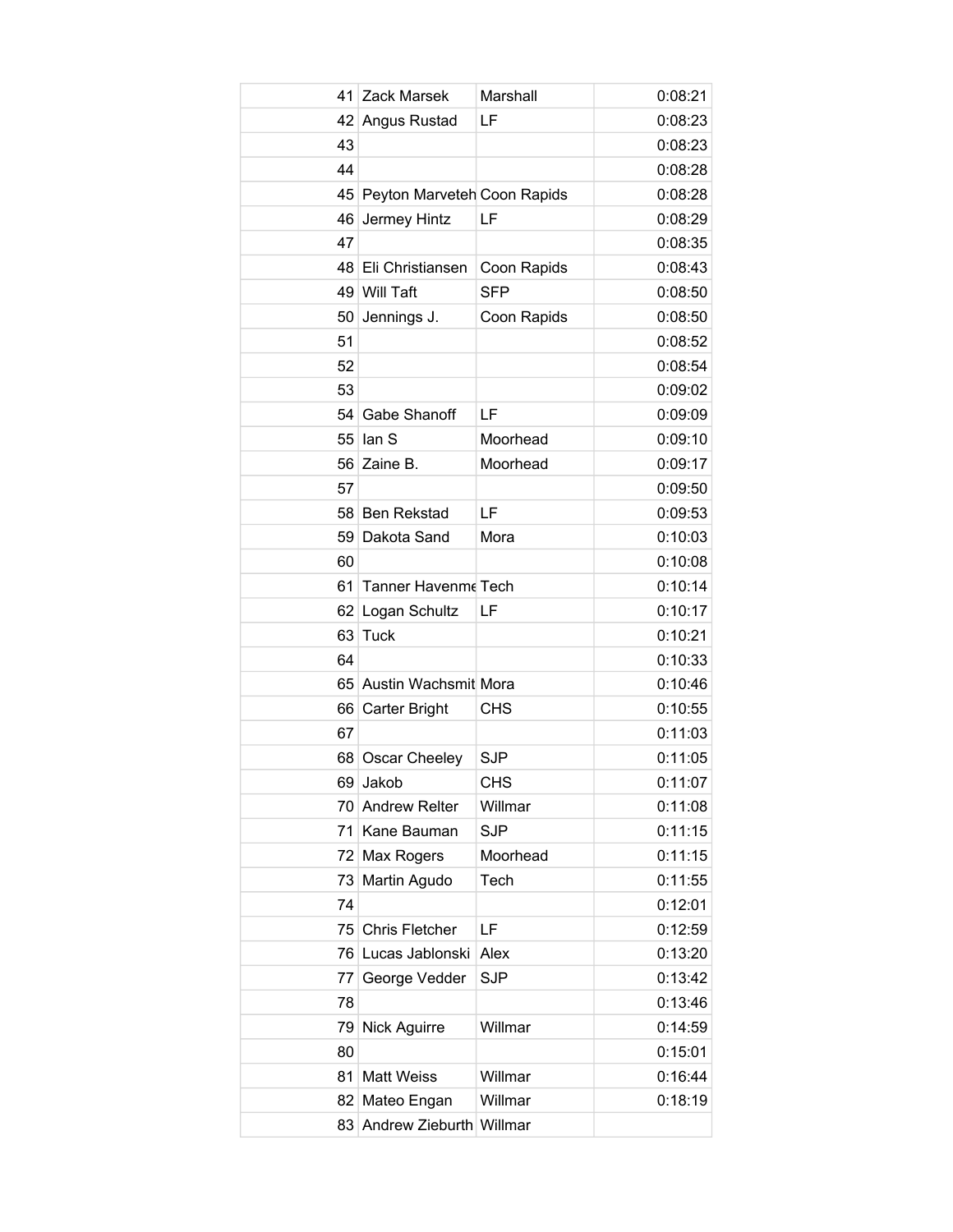| 41 | Zack Marsek                 | Marshall    | 0:08:21 |
|----|-----------------------------|-------------|---------|
|    | 42 Angus Rustad             | LF          | 0:08:23 |
| 43 |                             |             | 0:08:23 |
| 44 |                             |             | 0:08:28 |
| 45 | Peyton Marveteh Coon Rapids |             | 0:08:28 |
| 46 | Jermey Hintz                | LF          | 0:08:29 |
| 47 |                             |             | 0:08:35 |
|    | 48 Eli Christiansen         | Coon Rapids | 0:08:43 |
|    | 49 Will Taft                | <b>SFP</b>  | 0:08:50 |
| 50 | Jennings J.                 | Coon Rapids | 0:08:50 |
| 51 |                             |             | 0:08:52 |
| 52 |                             |             | 0:08:54 |
| 53 |                             |             | 0:09:02 |
|    | 54 Gabe Shanoff             | LF          | 0:09:09 |
|    | $55$ lan S                  | Moorhead    | 0:09:10 |
|    | 56 Zaine B.                 | Moorhead    | 0:09:17 |
| 57 |                             |             | 0:09:50 |
|    | 58 Ben Rekstad              | LF          | 0:09:53 |
|    | 59 Dakota Sand              | Mora        | 0:10:03 |
| 60 |                             |             | 0:10:08 |
| 61 | Tanner Havenme Tech         |             | 0:10:14 |
|    | 62 Logan Schultz            | LF          | 0:10:17 |
|    | 63 Tuck                     |             | 0:10:21 |
| 64 |                             |             | 0:10:33 |
|    | 65 Austin Wachsmit Mora     |             | 0:10:46 |
|    | 66 Carter Bright            | CHS         | 0:10:55 |
| 67 |                             |             | 0:11:03 |
|    | 68 Oscar Cheeley            | <b>SJP</b>  | 0:11:05 |
| 69 | Jakob                       | <b>CHS</b>  | 0:11:07 |
|    | 70 Andrew Relter            | Willmar     | 0:11:08 |
| 71 | Kane Bauman                 | <b>SJP</b>  | 0:11:15 |
|    | 72 Max Rogers               | Moorhead    | 0:11:15 |
| 73 | Martin Agudo                | Tech        | 0:11:55 |
| 74 |                             |             | 0:12:01 |
|    | 75 Chris Fletcher           | LF          | 0:12:59 |
|    | 76 Lucas Jablonski          | Alex        | 0:13:20 |
| 77 | George Vedder               | <b>SJP</b>  | 0:13:42 |
| 78 |                             |             | 0:13:46 |
| 79 | <b>Nick Aguirre</b>         | Willmar     | 0:14:59 |
| 80 |                             |             | 0:15:01 |
| 81 | <b>Matt Weiss</b>           | Willmar     | 0:16:44 |
|    | 82 Mateo Engan              | Willmar     | 0:18:19 |
|    | 83 Andrew Zieburth Willmar  |             |         |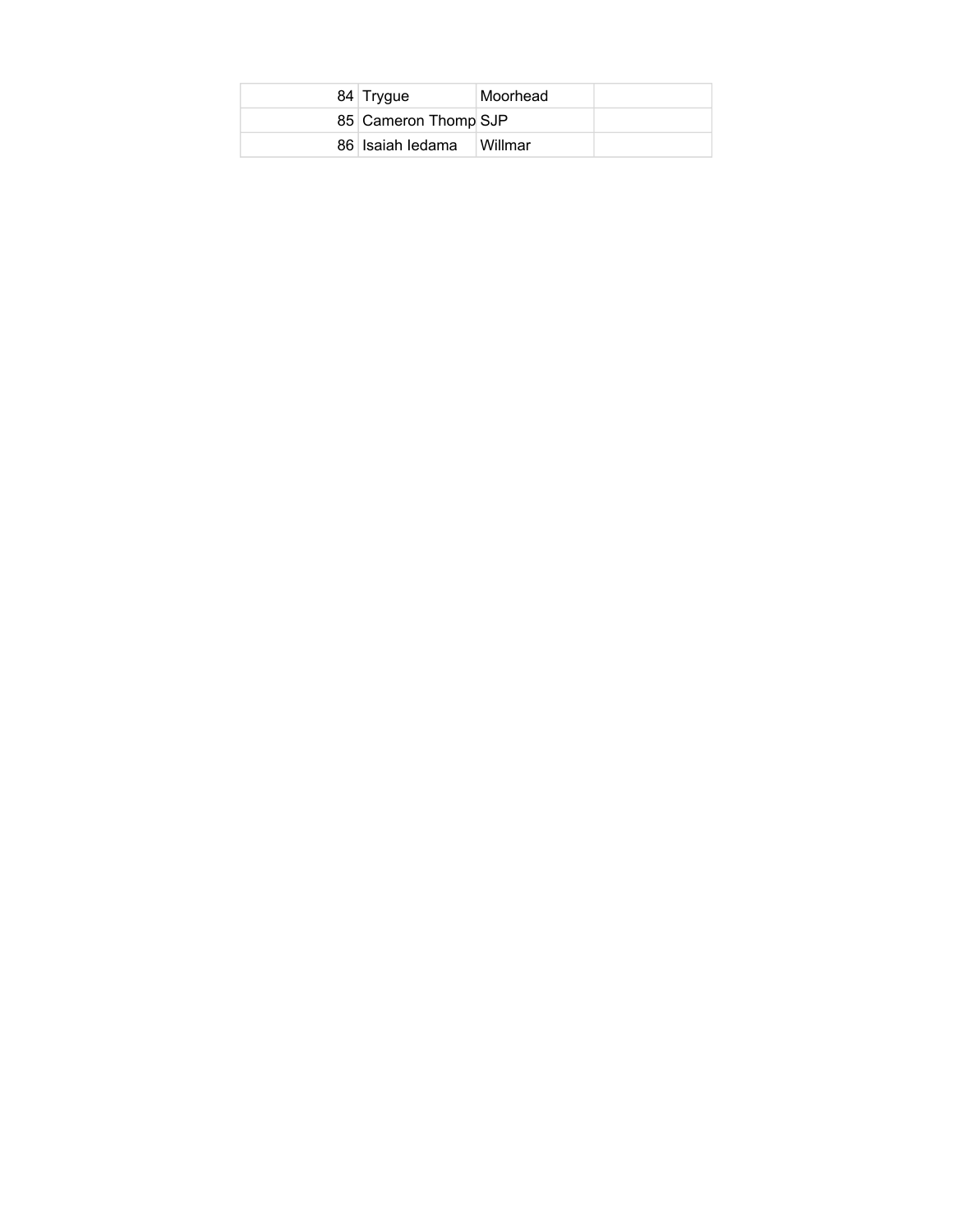| 84 Trygue            | Moorhead |  |
|----------------------|----------|--|
| 85 Cameron Thomp SJP |          |  |
| 86 Isaiah ledama     | ⊺Willmar |  |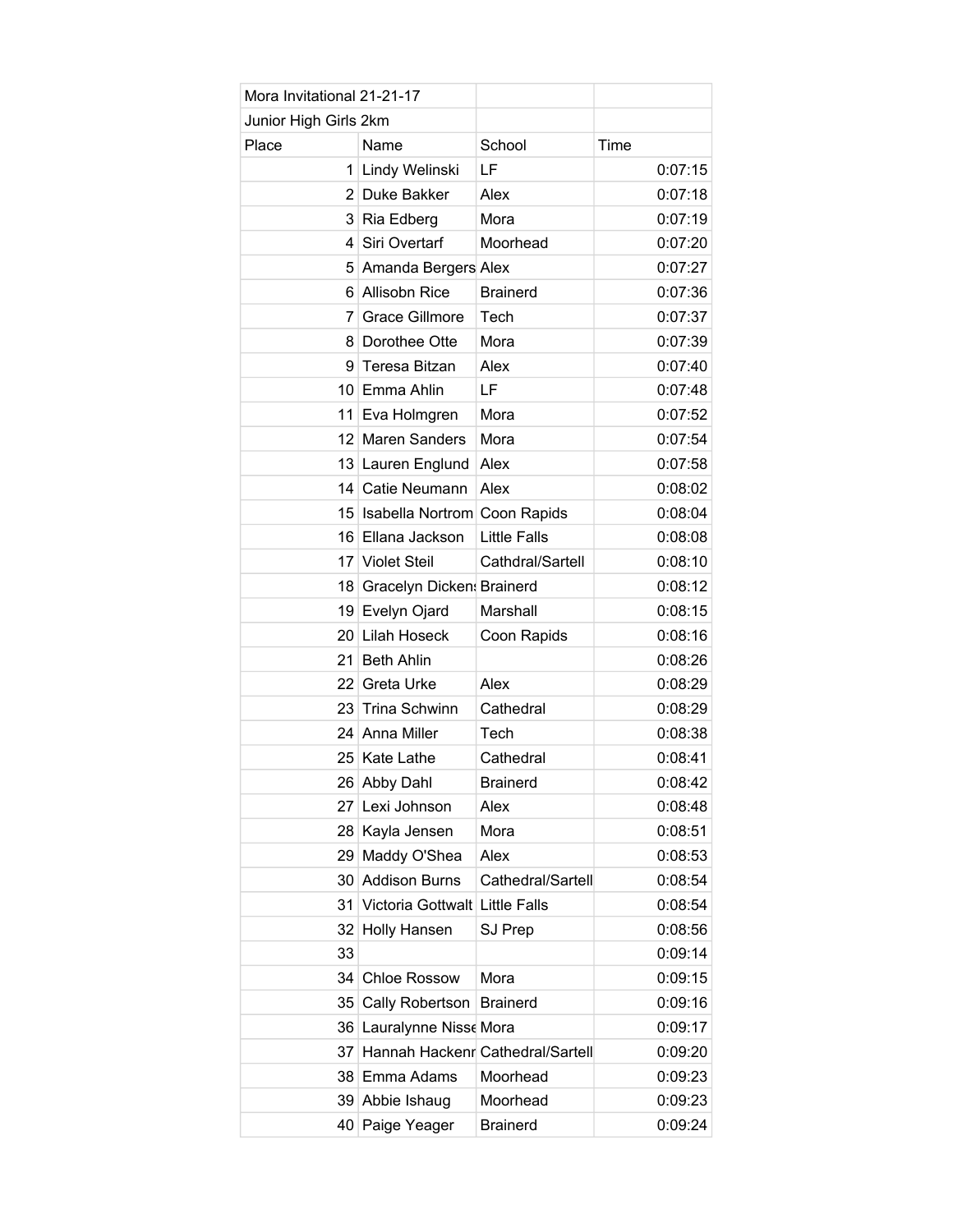| Mora Invitational 21-21-17 |                                     |                     |         |
|----------------------------|-------------------------------------|---------------------|---------|
| Junior High Girls 2km      |                                     |                     |         |
| Place                      | Name                                | School              | Time    |
|                            | 1 Lindy Welinski                    | LF                  | 0:07:15 |
|                            | 2 Duke Bakker                       | Alex                | 0:07:18 |
|                            | 3 Ria Edberg                        | Mora                | 0:07:19 |
| 4                          | Siri Overtarf                       | Moorhead            | 0:07:20 |
|                            | 5 Amanda Bergers Alex               |                     | 0:07:27 |
| 61                         | <b>Allisobn Rice</b>                | <b>Brainerd</b>     | 0:07:36 |
| 7                          | Grace Gillmore                      | Tech                | 0:07:37 |
|                            | 8 Dorothee Otte                     | Mora                | 0:07:39 |
| 9                          | Teresa Bitzan                       | Alex                | 0:07:40 |
|                            | 10 Emma Ahlin                       | LF                  | 0:07:48 |
| 11 <sup>1</sup>            | Eva Holmgren                        | Mora                | 0:07:52 |
|                            | 12 Maren Sanders                    | Mora                | 0:07:54 |
|                            | 13 Lauren Englund                   | Alex                | 0:07:58 |
| 14                         | Catie Neumann                       | Alex                | 0:08:02 |
|                            | 15   Isabella Nortrom Coon Rapids   |                     | 0:08:04 |
|                            | 16 Ellana Jackson                   | <b>Little Falls</b> | 0:08:08 |
|                            | 17 Violet Steil                     | Cathdral/Sartell    | 0:08:10 |
|                            | 18 Gracelyn Dicken: Brainerd        |                     | 0:08:12 |
| 19 <sup>1</sup>            | Evelyn Ojard                        | Marshall            | 0:08:15 |
|                            | 20 Lilah Hoseck                     | Coon Rapids         | 0:08:16 |
| 21 <sup>1</sup>            | <b>Beth Ahlin</b>                   |                     | 0:08:26 |
| 22 <sub>1</sub>            | Greta Urke                          | Alex                | 0:08:29 |
| 23                         | <b>Trina Schwinn</b>                | Cathedral           | 0:08:29 |
|                            | 24 Anna Miller                      | Tech                | 0:08:38 |
|                            | 25 Kate Lathe                       | Cathedral           | 0:08:41 |
|                            | 26 Abby Dahl                        | <b>Brainerd</b>     | 0:08:42 |
| 27                         | Lexi Johnson                        | Alex                | 0:08:48 |
|                            | 28 Kayla Jensen                     | Mora                | 0:08:51 |
|                            | 29 Maddy O'Shea                     | Alex                | 0:08:53 |
| 30 I                       | <b>Addison Burns</b>                | Cathedral/Sartell   | 0:08:54 |
| 31                         | Victoria Gottwalt Little Falls      |                     | 0:08:54 |
| 32                         | Holly Hansen                        | SJ Prep             | 0:08:56 |
| 33                         |                                     |                     | 0:09:14 |
| 34                         | <b>Chloe Rossow</b>                 | Mora                | 0:09:15 |
| 35                         | Cally Robertson                     | <b>Brainerd</b>     | 0:09:16 |
|                            | 36 Lauralynne Nisse Mora            |                     | 0:09:17 |
|                            | 37 Hannah Hackenr Cathedral/Sartell |                     | 0:09:20 |
| 381                        | Emma Adams                          | Moorhead            | 0:09:23 |
|                            | 39 Abbie Ishaug                     | Moorhead            | 0:09:23 |
|                            | 40 Paige Yeager                     | <b>Brainerd</b>     | 0:09:24 |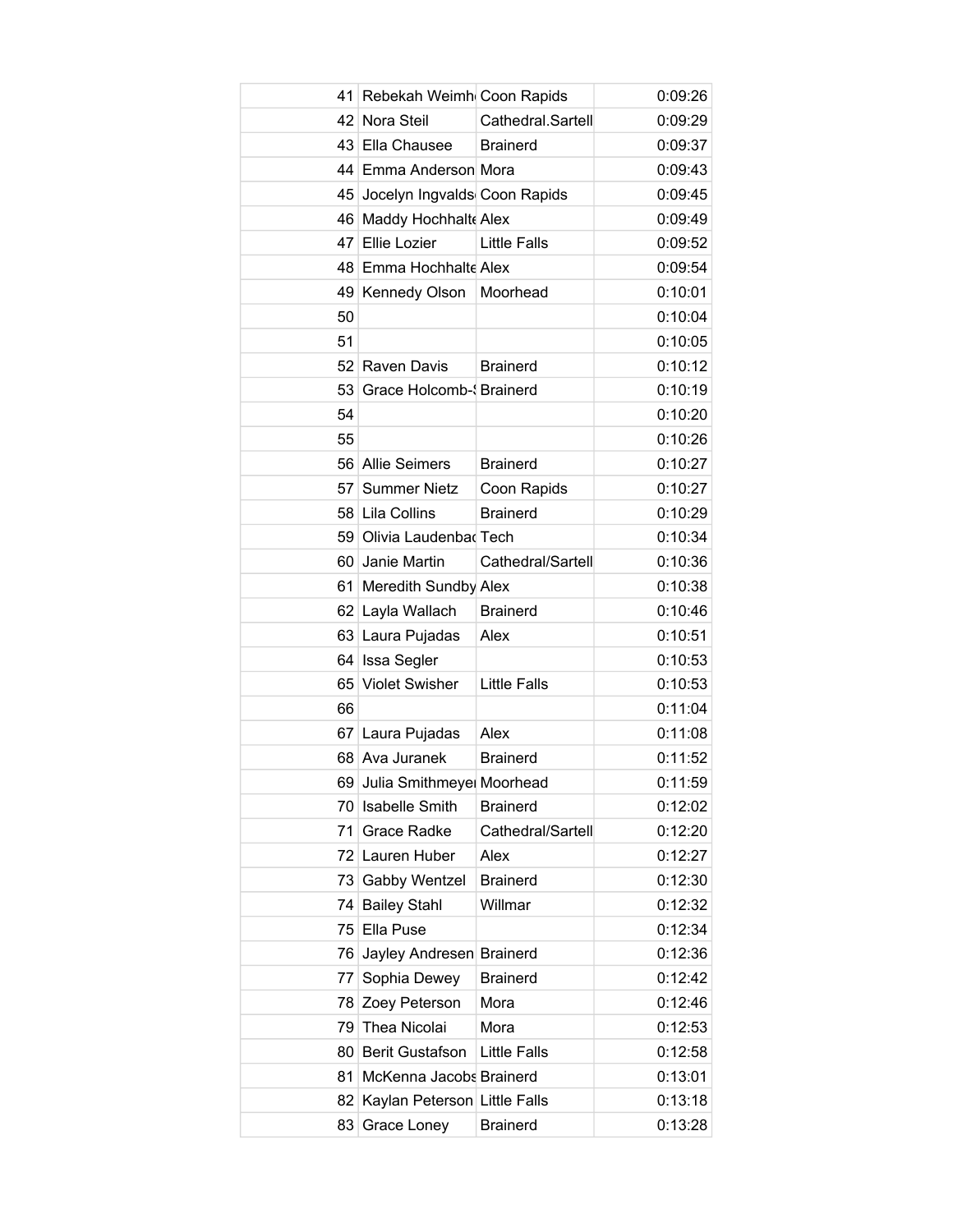|    | 41 Rebekah Weimh Coon Rapids    |                     | 0:09:26 |
|----|---------------------------------|---------------------|---------|
|    | 42 Nora Steil                   | Cathedral.Sartell   | 0:09:29 |
|    | 43 Ella Chausee                 | <b>Brainerd</b>     | 0:09:37 |
|    | 44 Emma Anderson Mora           |                     | 0:09:43 |
|    | 45 Jocelyn Ingvalds Coon Rapids |                     | 0:09:45 |
|    | 46 Maddy Hochhalt Alex          |                     | 0:09:49 |
|    | 47 Ellie Lozier                 | <b>Little Falls</b> | 0:09:52 |
|    | 48 Emma Hochhalte Alex          |                     | 0:09:54 |
|    | 49 Kennedy Olson                | Moorhead            | 0:10:01 |
| 50 |                                 |                     | 0:10:04 |
| 51 |                                 |                     | 0:10:05 |
|    | 52 Raven Davis                  | <b>Brainerd</b>     | 0:10:12 |
|    | 53 Grace Holcomb- Srainerd      |                     | 0:10:19 |
| 54 |                                 |                     | 0:10:20 |
| 55 |                                 |                     | 0:10:26 |
|    | 56 Allie Seimers                | <b>Brainerd</b>     | 0:10:27 |
|    | 57 Summer Nietz                 | Coon Rapids         | 0:10:27 |
|    | 58 Lila Collins                 | <b>Brainerd</b>     | 0:10:29 |
|    | 59 Olivia Laudenbad Tech        |                     | 0:10:34 |
|    | 60 Janie Martin                 | Cathedral/Sartell   | 0:10:36 |
|    | 61 Meredith Sundby Alex         |                     | 0:10:38 |
|    | 62 Layla Wallach                | <b>Brainerd</b>     | 0:10:46 |
|    | 63 Laura Pujadas                | Alex                | 0:10:51 |
|    | 64 Issa Segler                  |                     | 0:10:53 |
|    | 65 Violet Swisher               | <b>Little Falls</b> | 0:10:53 |
| 66 |                                 |                     | 0:11:04 |
|    | 67 Laura Pujadas                | Alex                | 0:11:08 |
|    | 68 Ava Juranek                  | <b>Brainerd</b>     | 0:11:52 |
|    | 69 Julia Smithmeye Moorhead     |                     | 0:11:59 |
|    | 70 Isabelle Smith               | <b>Brainerd</b>     | 0:12:02 |
|    | 71 Grace Radke                  | Cathedral/Sartell   | 0:12:20 |
|    | 72 Lauren Huber                 | Alex                | 0:12:27 |
|    | 73 Gabby Wentzel                | <b>Brainerd</b>     | 0:12:30 |
|    | 74 Bailey Stahl                 | Willmar             | 0:12:32 |
|    | 75 Ella Puse                    |                     | 0:12:34 |
| 76 | Jayley Andresen Brainerd        |                     | 0:12:36 |
| 77 | Sophia Dewey                    | <b>Brainerd</b>     | 0:12:42 |
|    | 78 Zoey Peterson                | Mora                | 0:12:46 |
| 79 | Thea Nicolai                    | Mora                | 0:12:53 |
|    | 80 Berit Gustafson              | <b>Little Falls</b> | 0:12:58 |
|    | 81 McKenna Jacobs Brainerd      |                     | 0:13:01 |
|    | 82 Kaylan Peterson Little Falls |                     | 0:13:18 |
|    | 83 Grace Loney                  | <b>Brainerd</b>     | 0:13:28 |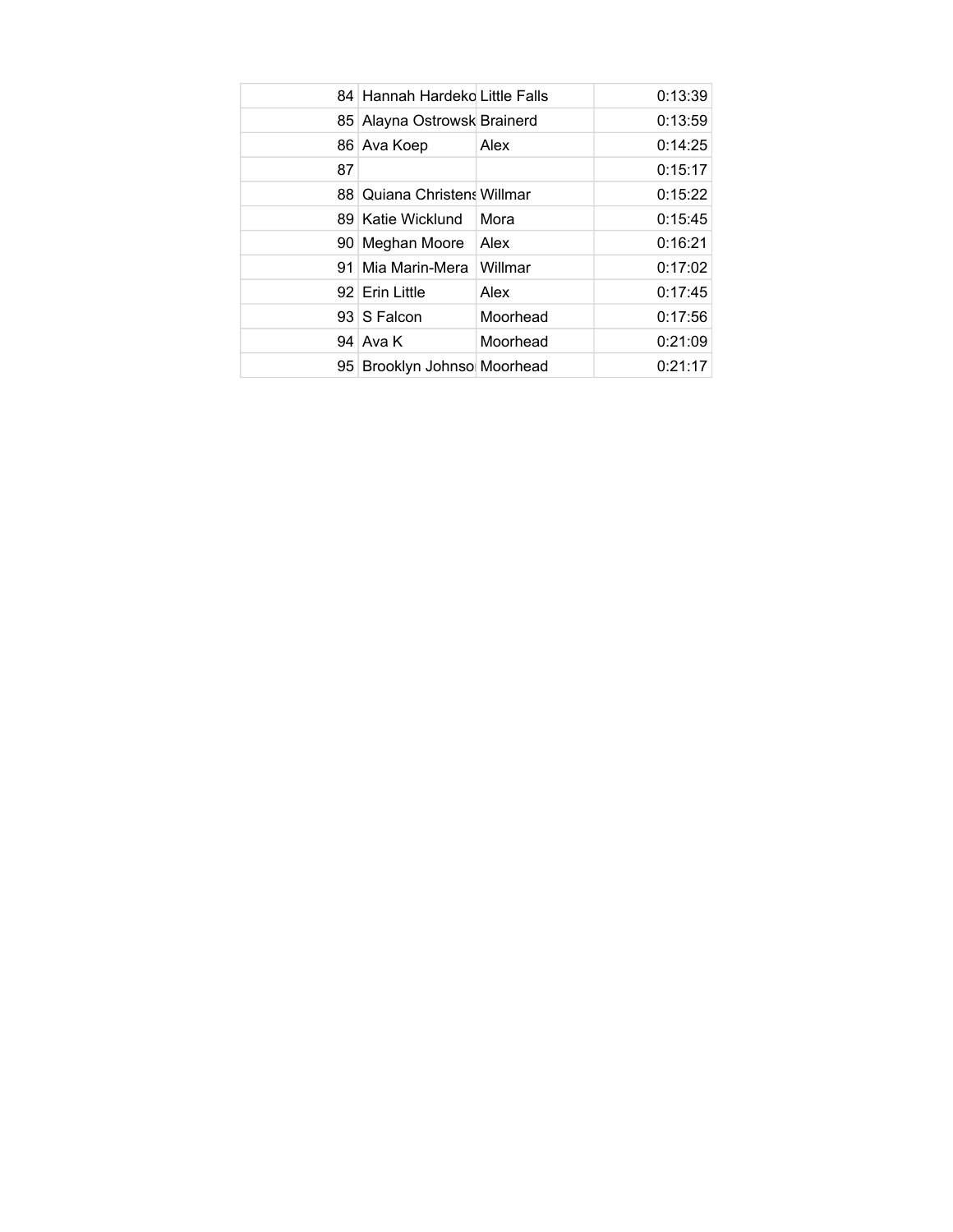|    | 84 Hannah Hardeko Little Falls  |          | 0:13:39 |
|----|---------------------------------|----------|---------|
|    | 85 Alayna Ostrowsk Brainerd     |          | 0:13:59 |
|    | 86 Ava Koep                     | Alex     | 0:14:25 |
| 87 |                                 |          | 0:15:17 |
| 88 | <b>Quiana Christens Willmar</b> |          | 0:15:22 |
|    | 89 Katie Wicklund               | Mora     | 0:15:45 |
|    | 90 Meghan Moore                 | Alex     | 0:16:21 |
| 91 | Mia Marin-Mera                  | Willmar  | 0:17:02 |
|    | 92 Erin Little                  | Alex     | 0:17:45 |
|    | 93 S Falcon                     | Moorhead | 0:17:56 |
|    | 94 Ava K                        | Moorhead | 0:21:09 |
|    | 95 Brooklyn Johnso Moorhead     |          | 0:21:17 |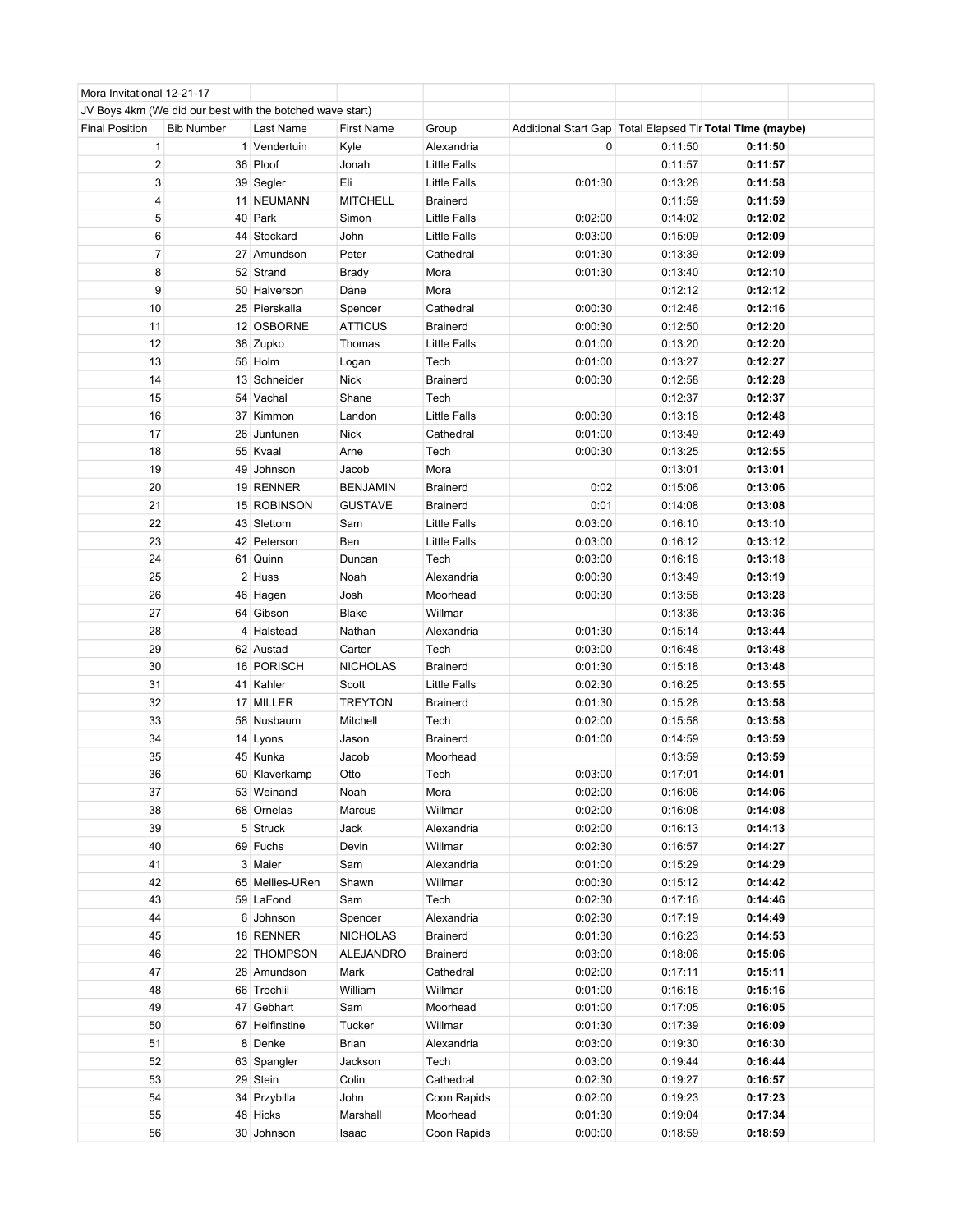| Mora Invitational 12-21-17 |                                                           |                 |                   |                     |                                                             |         |         |  |
|----------------------------|-----------------------------------------------------------|-----------------|-------------------|---------------------|-------------------------------------------------------------|---------|---------|--|
|                            | JV Boys 4km (We did our best with the botched wave start) |                 |                   |                     |                                                             |         |         |  |
| <b>Final Position</b>      | <b>Bib Number</b>                                         | Last Name       | <b>First Name</b> | Group               | Additional Start Gap   Total Elapsed Tir Total Time (maybe) |         |         |  |
| 1                          |                                                           | 1 Vendertuin    | Kyle              | Alexandria          | 0                                                           | 0:11:50 | 0:11:50 |  |
| $\overline{\mathbf{c}}$    |                                                           | 36 Ploof        | Jonah             | Little Falls        |                                                             | 0:11:57 | 0:11:57 |  |
| 3                          |                                                           | 39 Segler       | Eli               | <b>Little Falls</b> | 0:01:30                                                     | 0:13:28 | 0:11:58 |  |
| 4                          |                                                           | 11 NEUMANN      | <b>MITCHELL</b>   | <b>Brainerd</b>     |                                                             | 0:11:59 | 0:11:59 |  |
| 5                          |                                                           | 40 Park         | Simon             | Little Falls        | 0:02:00                                                     | 0:14:02 | 0:12:02 |  |
| 6                          |                                                           | 44 Stockard     | John              | <b>Little Falls</b> | 0:03:00                                                     | 0:15:09 | 0:12:09 |  |
| $\overline{7}$             |                                                           | 27 Amundson     | Peter             | Cathedral           | 0:01:30                                                     | 0:13:39 | 0:12:09 |  |
| 8                          |                                                           | 52 Strand       | <b>Brady</b>      | Mora                | 0:01:30                                                     | 0:13:40 | 0:12:10 |  |
| 9                          |                                                           |                 | Dane              | Mora                |                                                             | 0:12:12 | 0:12:12 |  |
| 10                         |                                                           | 50 Halverson    |                   | Cathedral           | 0:00:30                                                     | 0:12:46 | 0:12:16 |  |
|                            |                                                           | 25 Pierskalla   | Spencer           |                     |                                                             |         |         |  |
| 11                         |                                                           | 12 OSBORNE      | <b>ATTICUS</b>    | <b>Brainerd</b>     | 0:00:30                                                     | 0:12:50 | 0:12:20 |  |
| 12                         |                                                           | 38 Zupko        | Thomas            | Little Falls        | 0:01:00                                                     | 0:13:20 | 0:12:20 |  |
| 13                         |                                                           | 56 Holm         | Logan             | Tech                | 0:01:00                                                     | 0:13:27 | 0:12:27 |  |
| 14                         |                                                           | 13 Schneider    | <b>Nick</b>       | <b>Brainerd</b>     | 0:00:30                                                     | 0:12:58 | 0:12:28 |  |
| 15                         |                                                           | 54 Vachal       | Shane             | Tech                |                                                             | 0:12:37 | 0:12:37 |  |
| 16                         |                                                           | 37 Kimmon       | Landon            | <b>Little Falls</b> | 0:00:30                                                     | 0:13:18 | 0:12:48 |  |
| 17                         |                                                           | 26 Juntunen     | <b>Nick</b>       | Cathedral           | 0:01:00                                                     | 0:13:49 | 0:12:49 |  |
| 18                         |                                                           | 55 Kvaal        | Arne              | Tech                | 0:00:30                                                     | 0:13:25 | 0:12:55 |  |
| 19                         |                                                           | 49 Johnson      | Jacob             | Mora                |                                                             | 0:13:01 | 0:13:01 |  |
| 20                         |                                                           | 19 RENNER       | <b>BENJAMIN</b>   | <b>Brainerd</b>     | 0:02                                                        | 0:15:06 | 0:13:06 |  |
| 21                         |                                                           | 15 ROBINSON     | <b>GUSTAVE</b>    | <b>Brainerd</b>     | 0:01                                                        | 0:14:08 | 0:13:08 |  |
| 22                         |                                                           | 43 Slettom      | Sam               | Little Falls        | 0:03:00                                                     | 0:16:10 | 0:13:10 |  |
| 23                         |                                                           | 42 Peterson     | Ben               | Little Falls        | 0:03:00                                                     | 0:16:12 | 0:13:12 |  |
| 24                         |                                                           | 61 Quinn        | Duncan            | Tech                | 0:03:00                                                     | 0:16:18 | 0:13:18 |  |
| 25                         |                                                           | 2 Huss          | Noah              | Alexandria          | 0:00:30                                                     | 0:13:49 | 0:13:19 |  |
| 26                         |                                                           | 46 Hagen        | Josh              | Moorhead            | 0:00:30                                                     | 0:13:58 | 0:13:28 |  |
| 27                         |                                                           | 64 Gibson       | <b>Blake</b>      | Willmar             |                                                             | 0:13:36 | 0:13:36 |  |
| 28                         |                                                           | 4 Halstead      | Nathan            | Alexandria          | 0:01:30                                                     | 0:15:14 | 0:13:44 |  |
| 29                         |                                                           | 62 Austad       | Carter            | Tech                | 0:03:00                                                     | 0:16:48 | 0:13:48 |  |
| 30                         |                                                           | 16 PORISCH      | <b>NICHOLAS</b>   | <b>Brainerd</b>     | 0:01:30                                                     | 0:15:18 | 0:13:48 |  |
| 31                         |                                                           | 41 Kahler       | Scott             | Little Falls        | 0:02:30                                                     | 0:16:25 | 0:13:55 |  |
| 32                         |                                                           | 17 MILLER       | <b>TREYTON</b>    | <b>Brainerd</b>     | 0:01:30                                                     | 0:15:28 | 0:13:58 |  |
| 33                         |                                                           | 58 Nusbaum      | Mitchell          | Tech                | 0:02:00                                                     | 0:15:58 | 0:13:58 |  |
| 34                         |                                                           | 14 Lyons        | Jason             | Brainerd            | 0:01:00                                                     | 0:14:59 | 0:13:59 |  |
| 35                         |                                                           | 45 Kunka        | Jacob             | Moorhead            |                                                             | 0:13:59 | 0:13:59 |  |
| 36                         |                                                           | 60 Klaverkamp   | Otto              | Tech                | 0:03:00                                                     | 0:17:01 | 0:14:01 |  |
| 37                         |                                                           | 53 Weinand      | Noah              | Mora                | 0:02:00                                                     | 0:16:06 | 0:14:06 |  |
| 38                         |                                                           | 68 Ornelas      | Marcus            | Willmar             | 0:02:00                                                     | 0:16:08 | 0:14:08 |  |
| 39                         |                                                           | 5 Struck        | Jack              | Alexandria          | 0:02:00                                                     | 0:16:13 | 0:14:13 |  |
| 40                         |                                                           | 69 Fuchs        |                   | Willmar             | 0:02:30                                                     | 0:16:57 | 0:14:27 |  |
| 41                         |                                                           | 3 Maier         | Devin<br>Sam      | Alexandria          | 0:01:00                                                     | 0:15:29 | 0:14:29 |  |
| 42                         |                                                           | 65 Mellies-URen |                   | Willmar             | 0:00:30                                                     | 0:15:12 | 0:14:42 |  |
|                            |                                                           | 59 LaFond       | Shawn             |                     |                                                             |         |         |  |
| 43                         |                                                           |                 | Sam               | Tech                | 0:02:30                                                     | 0:17:16 | 0:14:46 |  |
| 44                         |                                                           | 6 Johnson       | Spencer           | Alexandria          | 0:02:30                                                     | 0:17:19 | 0:14:49 |  |
| 45                         |                                                           | 18 RENNER       | <b>NICHOLAS</b>   | <b>Brainerd</b>     | 0:01:30                                                     | 0:16:23 | 0:14:53 |  |
| 46                         |                                                           | 22 THOMPSON     | <b>ALEJANDRO</b>  | Brainerd            | 0:03:00                                                     | 0:18:06 | 0:15:06 |  |
| 47                         |                                                           | 28 Amundson     | Mark              | Cathedral           | 0:02:00                                                     | 0:17:11 | 0:15:11 |  |
| 48                         |                                                           | 66 Trochlil     | William           | Willmar             | 0:01:00                                                     | 0:16:16 | 0:15:16 |  |
| 49                         |                                                           | 47 Gebhart      | Sam               | Moorhead            | 0:01:00                                                     | 0:17:05 | 0:16:05 |  |
| 50                         |                                                           | 67 Helfinstine  | Tucker            | Willmar             | 0:01:30                                                     | 0:17:39 | 0:16:09 |  |
| 51                         |                                                           | 8 Denke         | <b>Brian</b>      | Alexandria          | 0:03:00                                                     | 0:19:30 | 0:16:30 |  |
| 52                         |                                                           | 63 Spangler     | Jackson           | Tech                | 0:03:00                                                     | 0:19:44 | 0:16:44 |  |
| 53                         |                                                           | 29 Stein        | Colin             | Cathedral           | 0:02:30                                                     | 0:19:27 | 0:16:57 |  |
| 54                         |                                                           | 34 Przybilla    | John              | Coon Rapids         | 0:02:00                                                     | 0:19:23 | 0:17:23 |  |
| 55                         |                                                           | 48 Hicks        | Marshall          | Moorhead            | 0:01:30                                                     | 0:19:04 | 0:17:34 |  |
| 56                         |                                                           | 30 Johnson      | Isaac             | Coon Rapids         | 0:00:00                                                     | 0:18:59 | 0:18:59 |  |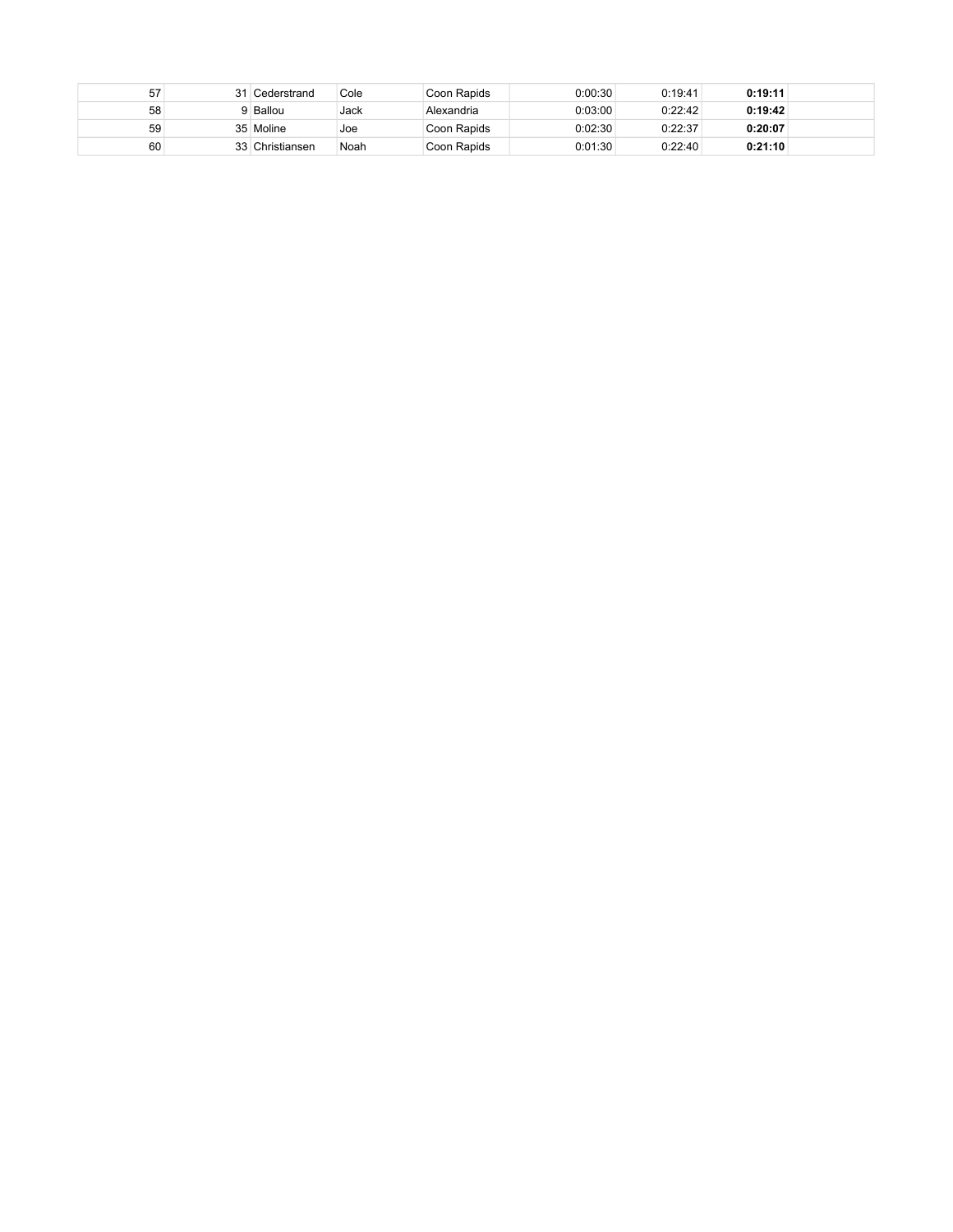| 57 | 31 | Cederstrand     | Cole | Coon Rapids | 0:00:30 | 0:19:41 | 0:19:11 |  |
|----|----|-----------------|------|-------------|---------|---------|---------|--|
| 58 |    | Ballou          | Jack | Alexandria  | 0:03:00 | 0:22:42 | 0:19:42 |  |
| 59 |    | 35 Moline       | Joe  | Coon Rapids | 0:02:30 | 0:22:37 | 0:20:07 |  |
| 60 |    | 33 Christiansen | Noah | Coon Rapids | 0:01:30 | 0:22:40 | 0:21:10 |  |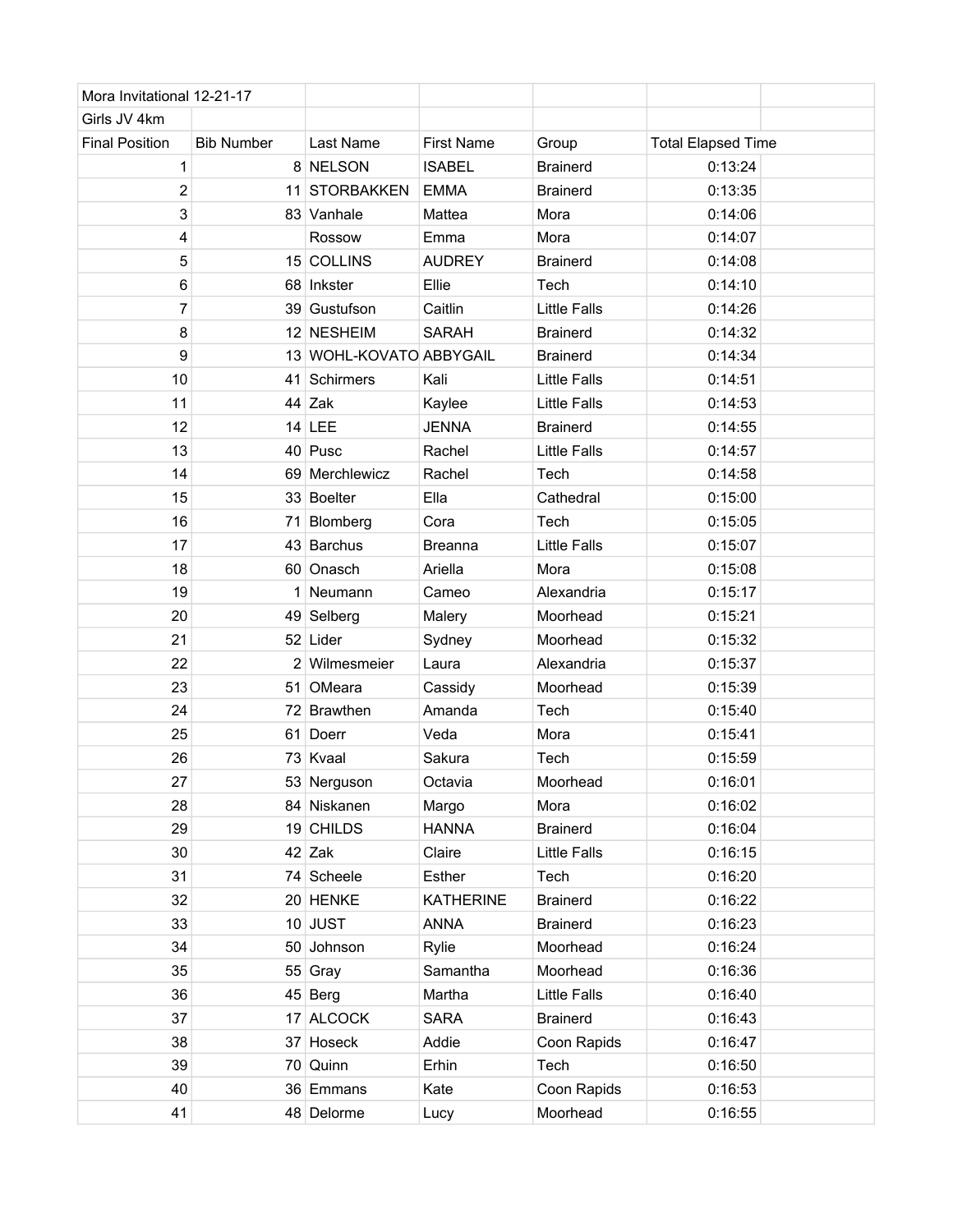| Mora Invitational 12-21-17 |                   |                         |                   |                     |                           |
|----------------------------|-------------------|-------------------------|-------------------|---------------------|---------------------------|
| Girls JV 4km               |                   |                         |                   |                     |                           |
| <b>Final Position</b>      | <b>Bib Number</b> | Last Name               | <b>First Name</b> | Group               | <b>Total Elapsed Time</b> |
| 1                          |                   | 8 NELSON                | <b>ISABEL</b>     | <b>Brainerd</b>     | 0:13:24                   |
| $\overline{2}$             |                   | 11 STORBAKKEN           | <b>EMMA</b>       | <b>Brainerd</b>     | 0:13:35                   |
| 3                          |                   | 83 Vanhale              | Mattea            | Mora                | 0:14:06                   |
| 4                          |                   | Rossow                  | Emma              | Mora                | 0:14:07                   |
| 5                          |                   | 15 COLLINS              | <b>AUDREY</b>     | <b>Brainerd</b>     | 0:14:08                   |
| 6                          |                   | 68 Inkster              | Ellie             | Tech                | 0:14:10                   |
| 7                          |                   | 39 Gustufson            | Caitlin           | <b>Little Falls</b> | 0:14:26                   |
| 8                          |                   | 12 NESHEIM              | <b>SARAH</b>      | <b>Brainerd</b>     | 0:14:32                   |
| 9                          |                   | 13 WOHL-KOVATO ABBYGAIL |                   | <b>Brainerd</b>     | 0:14:34                   |
| 10                         |                   | 41 Schirmers            | Kali              | <b>Little Falls</b> | 0:14:51                   |
| 11                         |                   | 44 Zak                  | Kaylee            | <b>Little Falls</b> | 0:14:53                   |
| 12                         |                   | 14 LEE                  | <b>JENNA</b>      | <b>Brainerd</b>     | 0:14:55                   |
| 13                         |                   | 40 Pusc                 | Rachel            | <b>Little Falls</b> | 0:14:57                   |
| 14                         |                   | 69 Merchlewicz          | Rachel            | Tech                | 0:14:58                   |
| 15                         |                   | 33 Boelter              | Ella              | Cathedral           | 0:15:00                   |
| 16                         |                   | 71 Blomberg             | Cora              | Tech                | 0:15:05                   |
| 17                         |                   | 43 Barchus              | <b>Breanna</b>    | <b>Little Falls</b> | 0:15:07                   |
| 18                         |                   | 60 Onasch               | Ariella           | Mora                | 0:15:08                   |
| 19                         |                   | 1 Neumann               | Cameo             | Alexandria          | 0:15:17                   |
| 20                         |                   | 49 Selberg              | Malery            | Moorhead            | 0:15:21                   |
| 21                         |                   | 52 Lider                | Sydney            | Moorhead            | 0:15:32                   |
| 22                         |                   | 2 Wilmesmeier           | Laura             | Alexandria          | 0:15:37                   |
| 23                         |                   | 51 OMeara               | Cassidy           | Moorhead            | 0:15:39                   |
| 24                         |                   | 72 Brawthen             | Amanda            | Tech                | 0:15:40                   |
| 25                         |                   | 61 Doerr                | Veda              | Mora                | 0:15:41                   |
| 26                         |                   | 73 Kvaal                | Sakura            | Tech                | 0:15:59                   |
| 27                         |                   | 53 Nerguson             | Octavia           | Moorhead            | 0:16:01                   |
| 28                         |                   | 84 Niskanen             | Margo             | Mora                | 0:16:02                   |
| 29                         |                   | 19 CHILDS               | <b>HANNA</b>      | <b>Brainerd</b>     | 0:16:04                   |
| 30                         |                   | $42$ Zak                | Claire            | <b>Little Falls</b> | 0:16:15                   |
| 31                         |                   | 74 Scheele              | Esther            | Tech                | 0:16:20                   |
| 32                         |                   | 20 HENKE                | <b>KATHERINE</b>  | <b>Brainerd</b>     | 0:16:22                   |
| 33                         |                   | 10 JUST                 | <b>ANNA</b>       | <b>Brainerd</b>     | 0:16:23                   |
| 34                         |                   | 50 Johnson              | Rylie             | Moorhead            | 0:16:24                   |
| 35                         |                   | 55 Gray                 | Samantha          | Moorhead            | 0:16:36                   |
| 36                         |                   | 45 Berg                 | Martha            | <b>Little Falls</b> | 0:16:40                   |
| 37                         |                   | 17 ALCOCK               | <b>SARA</b>       | <b>Brainerd</b>     | 0:16:43                   |
| 38                         |                   | 37 Hoseck               | Addie             | Coon Rapids         | 0:16:47                   |
| 39                         |                   | 70 Quinn                | Erhin             | Tech                | 0:16:50                   |
| 40                         |                   | 36 Emmans               | Kate              | Coon Rapids         | 0:16:53                   |
| 41                         |                   | 48 Delorme              | Lucy              | Moorhead            | 0:16:55                   |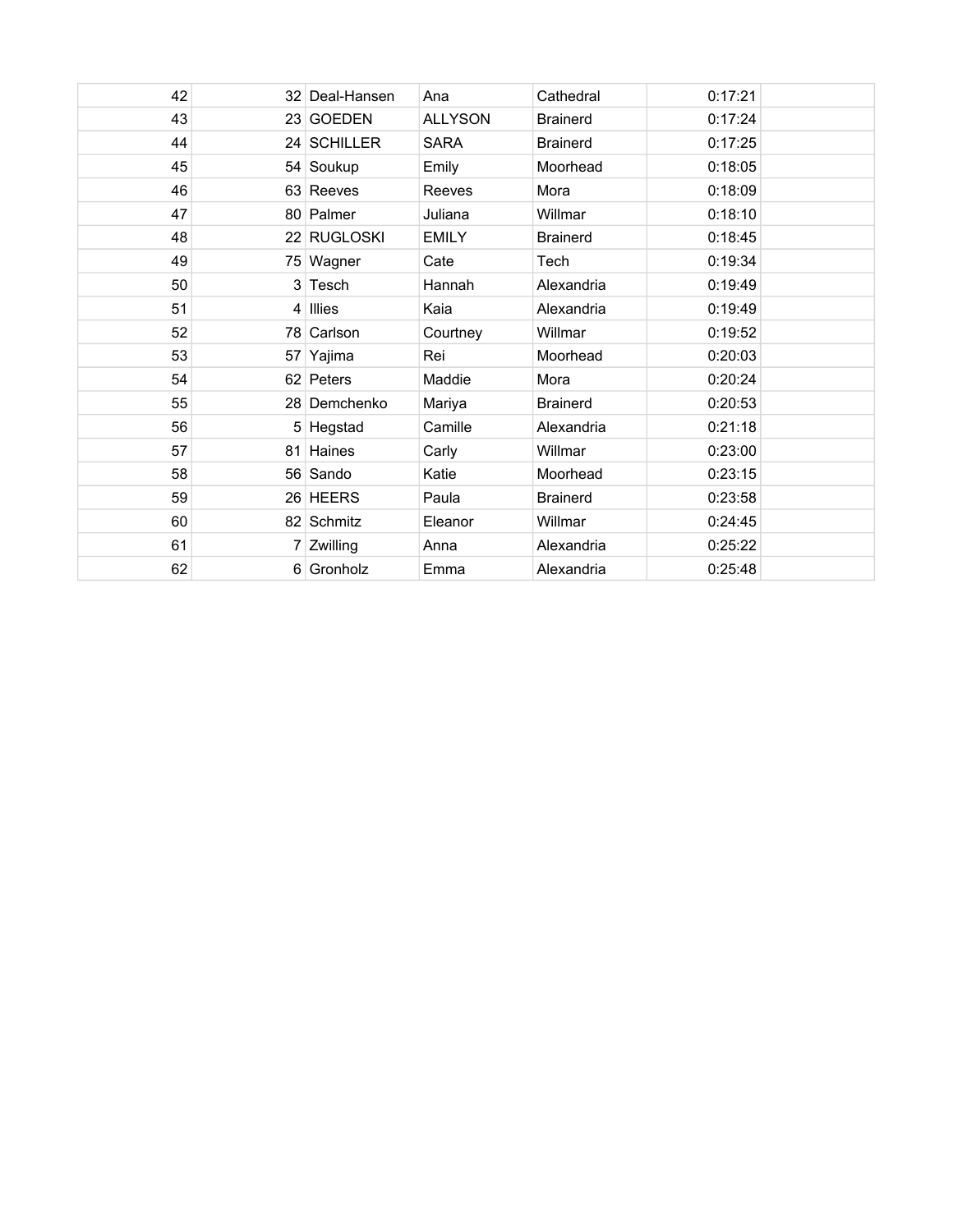| 42 | 32 Deal-Hansen | Ana            | Cathedral       | 0:17:21 |  |
|----|----------------|----------------|-----------------|---------|--|
| 43 | 23 GOEDEN      | <b>ALLYSON</b> | <b>Brainerd</b> | 0:17:24 |  |
| 44 | 24 SCHILLER    | <b>SARA</b>    | <b>Brainerd</b> | 0:17:25 |  |
| 45 | 54 Soukup      | Emily          | Moorhead        | 0:18:05 |  |
| 46 | 63 Reeves      | Reeves         | Mora            | 0:18:09 |  |
| 47 | 80 Palmer      | Juliana        | Willmar         | 0:18:10 |  |
| 48 | 22 RUGLOSKI    | <b>EMILY</b>   | <b>Brainerd</b> | 0:18:45 |  |
| 49 | 75 Wagner      | Cate           | Tech            | 0:19:34 |  |
| 50 | 3 Tesch        | Hannah         | Alexandria      | 0:19:49 |  |
| 51 | 4 Illies       | Kaia           | Alexandria      | 0:19:49 |  |
| 52 | 78 Carlson     | Courtney       | Willmar         | 0:19:52 |  |
| 53 | 57 Yajima      | Rei            | Moorhead        | 0:20:03 |  |
| 54 | 62 Peters      | Maddie         | Mora            | 0:20:24 |  |
| 55 | 28 Demchenko   | Mariya         | <b>Brainerd</b> | 0:20:53 |  |
| 56 | 5 Hegstad      | Camille        | Alexandria      | 0:21:18 |  |
| 57 | 81 Haines      | Carly          | Willmar         | 0:23:00 |  |
| 58 | 56 Sando       | Katie          | Moorhead        | 0:23:15 |  |
| 59 | 26 HEERS       | Paula          | <b>Brainerd</b> | 0:23:58 |  |
| 60 | 82 Schmitz     | Eleanor        | Willmar         | 0:24:45 |  |
| 61 | 7 Zwilling     | Anna           | Alexandria      | 0:25:22 |  |
| 62 | 6 Gronholz     | Emma           | Alexandria      | 0:25:48 |  |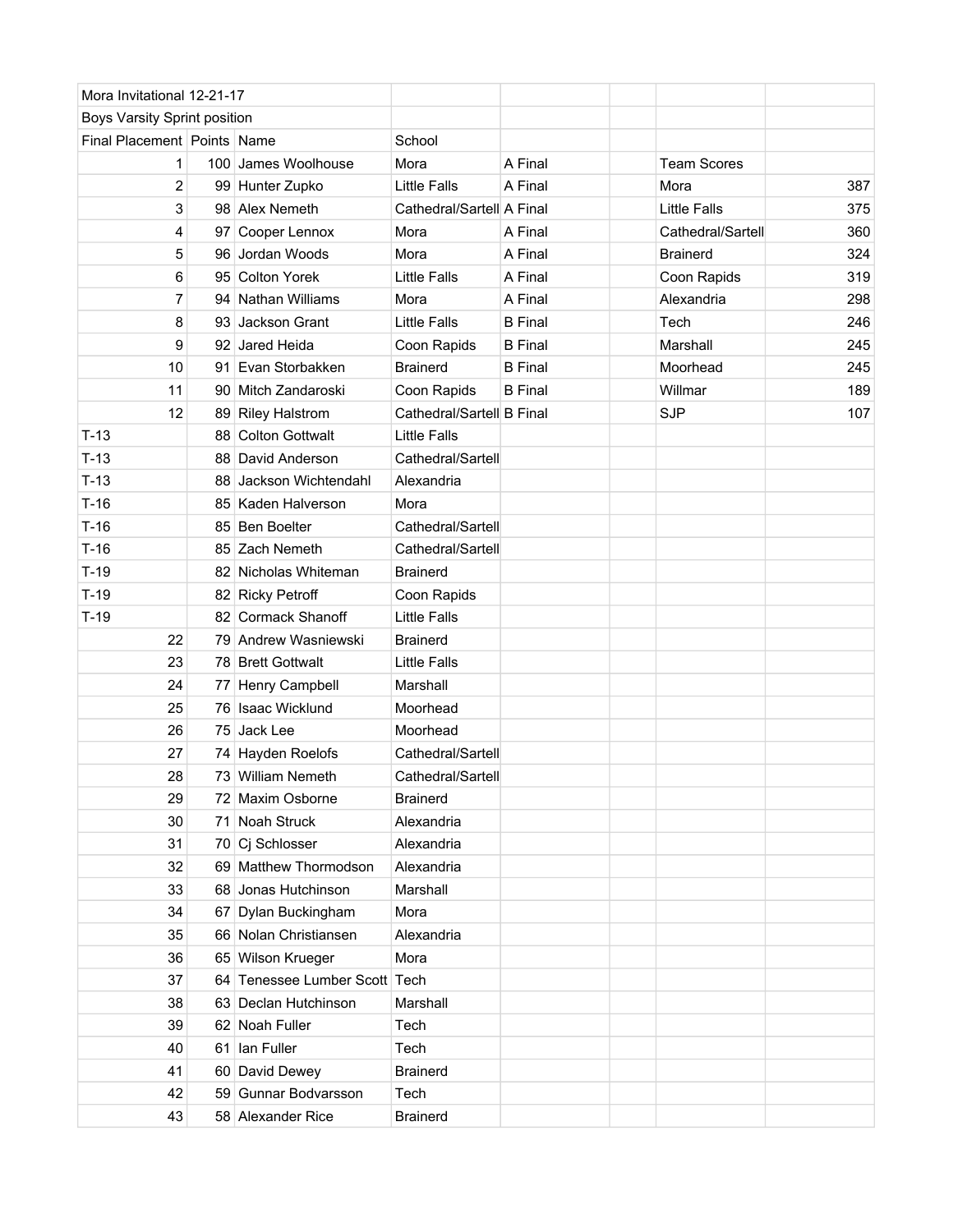| Mora Invitational 12-21-17   |    |                               |                           |                |                     |     |
|------------------------------|----|-------------------------------|---------------------------|----------------|---------------------|-----|
| Boys Varsity Sprint position |    |                               |                           |                |                     |     |
| Final Placement Points Name  |    |                               | School                    |                |                     |     |
| 1                            |    | 100 James Woolhouse           | Mora                      | A Final        | <b>Team Scores</b>  |     |
| 2                            |    | 99 Hunter Zupko               | <b>Little Falls</b>       | A Final        | Mora                | 387 |
| 3                            |    | 98 Alex Nemeth                | Cathedral/Sartell A Final |                | <b>Little Falls</b> | 375 |
| 4                            |    | 97 Cooper Lennox              | Mora                      | A Final        | Cathedral/Sartell   | 360 |
| 5                            |    | 96 Jordan Woods               | Mora                      | A Final        | <b>Brainerd</b>     | 324 |
| 6                            |    | 95 Colton Yorek               | <b>Little Falls</b>       | A Final        | Coon Rapids         | 319 |
| 7                            |    | 94 Nathan Williams            | Mora                      | A Final        | Alexandria          | 298 |
| 8                            |    | 93 Jackson Grant              | <b>Little Falls</b>       | <b>B</b> Final | Tech                | 246 |
| 9                            |    | 92 Jared Heida                | Coon Rapids               | <b>B</b> Final | Marshall            | 245 |
| 10                           |    | 91 Evan Storbakken            | <b>Brainerd</b>           | <b>B</b> Final | Moorhead            | 245 |
| 11                           |    | 90 Mitch Zandaroski           | Coon Rapids               | <b>B</b> Final | Willmar             | 189 |
| 12                           |    | 89 Riley Halstrom             | Cathedral/Sartell B Final |                | <b>SJP</b>          | 107 |
| $T-13$                       |    | 88 Colton Gottwalt            | <b>Little Falls</b>       |                |                     |     |
| $T-13$                       |    | 88 David Anderson             | Cathedral/Sartell         |                |                     |     |
| $T-13$                       |    | 88 Jackson Wichtendahl        | Alexandria                |                |                     |     |
| $T-16$                       |    | 85 Kaden Halverson            | Mora                      |                |                     |     |
| $T-16$                       |    | 85 Ben Boelter                | Cathedral/Sartell         |                |                     |     |
| $T-16$                       |    | 85 Zach Nemeth                | Cathedral/Sartell         |                |                     |     |
| $T-19$                       |    | 82 Nicholas Whiteman          | <b>Brainerd</b>           |                |                     |     |
| $T-19$                       |    | 82 Ricky Petroff              | Coon Rapids               |                |                     |     |
| $T-19$                       |    | 82 Cormack Shanoff            | <b>Little Falls</b>       |                |                     |     |
| 22                           |    | 79 Andrew Wasniewski          | <b>Brainerd</b>           |                |                     |     |
| 23                           |    | 78 Brett Gottwalt             | <b>Little Falls</b>       |                |                     |     |
| 24                           |    | 77 Henry Campbell             | Marshall                  |                |                     |     |
| 25                           |    | 76 Isaac Wicklund             | Moorhead                  |                |                     |     |
| 26                           |    | 75 Jack Lee                   | Moorhead                  |                |                     |     |
| 27                           |    | 74 Hayden Roelofs             | Cathedral/Sartell         |                |                     |     |
| 28                           |    | 73 William Nemeth             | Cathedral/Sartell         |                |                     |     |
| 29                           |    | 72 Maxim Osborne              | <b>Brainerd</b>           |                |                     |     |
| 30                           | 71 | Noah Struck                   | Alexandria                |                |                     |     |
| 31                           |    | 70 Cj Schlosser               | Alexandria                |                |                     |     |
| 32                           |    | 69 Matthew Thormodson         | Alexandria                |                |                     |     |
| 33                           |    | 68 Jonas Hutchinson           | Marshall                  |                |                     |     |
| 34                           |    | 67 Dylan Buckingham           | Mora                      |                |                     |     |
| 35                           |    | 66 Nolan Christiansen         | Alexandria                |                |                     |     |
| 36                           |    | 65 Wilson Krueger             | Mora                      |                |                     |     |
| 37                           |    | 64 Tenessee Lumber Scott Tech |                           |                |                     |     |
| 38                           |    | 63 Declan Hutchinson          | Marshall                  |                |                     |     |
| 39                           |    | 62 Noah Fuller                | Tech                      |                |                     |     |
| 40                           |    | 61 Ian Fuller                 | Tech                      |                |                     |     |
| 41                           |    | 60 David Dewey                | <b>Brainerd</b>           |                |                     |     |
| 42                           |    | 59 Gunnar Bodvarsson          | Tech                      |                |                     |     |
| 43                           |    | 58 Alexander Rice             | <b>Brainerd</b>           |                |                     |     |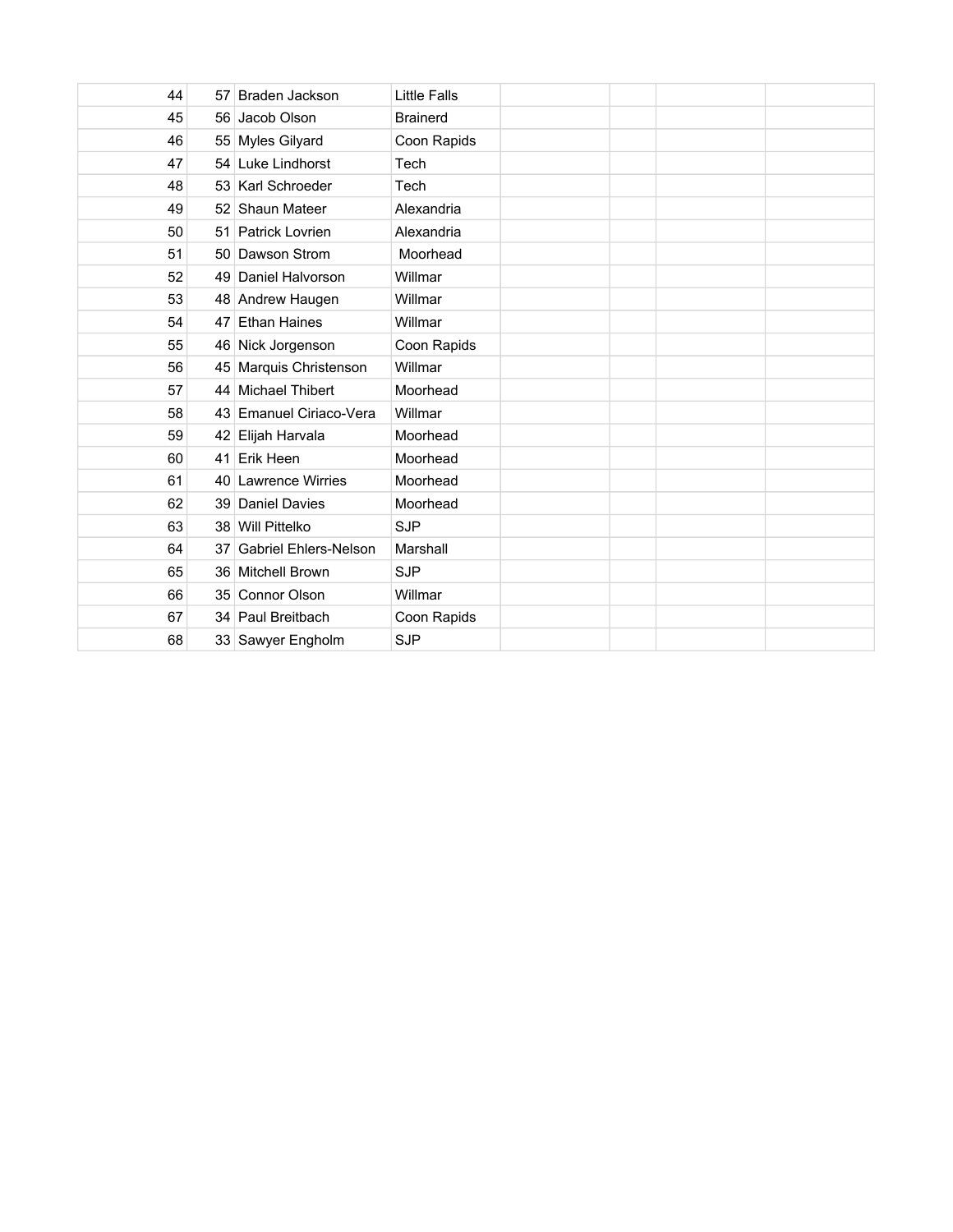| 44 | 57 Braden Jackson        | Little Falls    |  |  |
|----|--------------------------|-----------------|--|--|
| 45 | 56 Jacob Olson           | <b>Brainerd</b> |  |  |
| 46 | 55 Myles Gilyard         | Coon Rapids     |  |  |
| 47 | 54 Luke Lindhorst        | Tech            |  |  |
| 48 | 53 Karl Schroeder        | Tech            |  |  |
| 49 | 52 Shaun Mateer          | Alexandria      |  |  |
| 50 | 51 Patrick Lovrien       | Alexandria      |  |  |
| 51 | 50 Dawson Strom          | Moorhead        |  |  |
| 52 | 49 Daniel Halvorson      | Willmar         |  |  |
| 53 | 48 Andrew Haugen         | Willmar         |  |  |
| 54 | 47 Ethan Haines          | Willmar         |  |  |
| 55 | 46 Nick Jorgenson        | Coon Rapids     |  |  |
| 56 | 45 Marquis Christenson   | Willmar         |  |  |
| 57 | 44 Michael Thibert       | Moorhead        |  |  |
| 58 | 43 Emanuel Ciriaco-Vera  | Willmar         |  |  |
| 59 | 42 Elijah Harvala        | Moorhead        |  |  |
| 60 | 41 Erik Heen             | Moorhead        |  |  |
| 61 | 40 Lawrence Wirries      | Moorhead        |  |  |
| 62 | 39 Daniel Davies         | Moorhead        |  |  |
| 63 | 38 Will Pittelko         | <b>SJP</b>      |  |  |
| 64 | 37 Gabriel Ehlers-Nelson | Marshall        |  |  |
| 65 | 36 Mitchell Brown        | <b>SJP</b>      |  |  |
| 66 | 35 Connor Olson          | Willmar         |  |  |
| 67 | 34 Paul Breitbach        | Coon Rapids     |  |  |
| 68 | 33 Sawyer Engholm        | <b>SJP</b>      |  |  |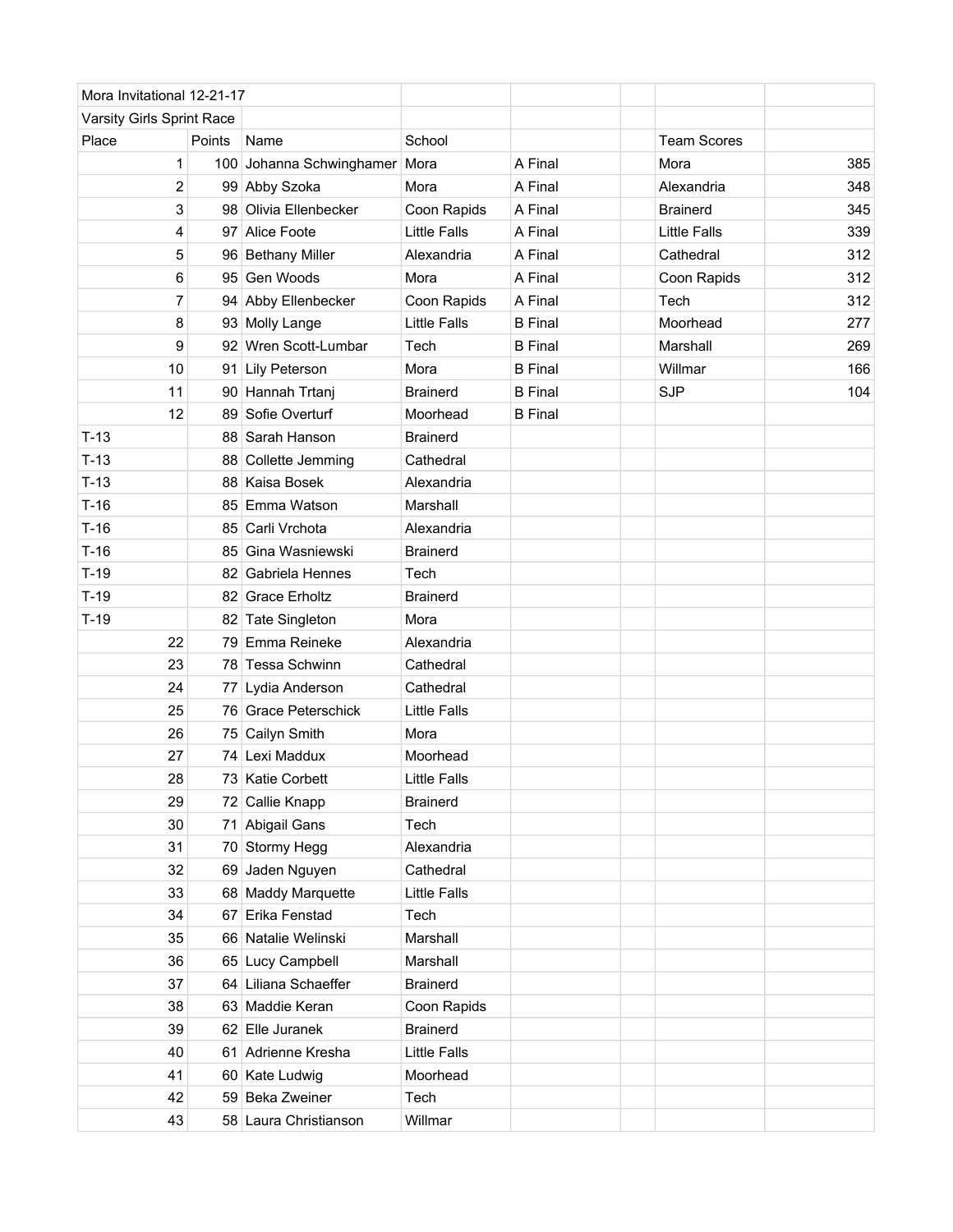| Mora Invitational 12-21-17 |        |                          |                     |                |                     |     |
|----------------------------|--------|--------------------------|---------------------|----------------|---------------------|-----|
| Varsity Girls Sprint Race  |        |                          |                     |                |                     |     |
| Place                      | Points | Name                     | School              |                | <b>Team Scores</b>  |     |
|                            | 1      | 100 Johanna Schwinghamer | Mora                | A Final        | Mora                | 385 |
|                            | 2      | 99 Abby Szoka            | Mora                | A Final        | Alexandria          | 348 |
|                            | 3      | 98 Olivia Ellenbecker    | Coon Rapids         | A Final        | <b>Brainerd</b>     | 345 |
|                            | 4      | 97 Alice Foote           | <b>Little Falls</b> | A Final        | <b>Little Falls</b> | 339 |
|                            | 5      | 96 Bethany Miller        | Alexandria          | A Final        | Cathedral           | 312 |
|                            | 6      | 95 Gen Woods             | Mora                | A Final        | Coon Rapids         | 312 |
|                            | 7      | 94 Abby Ellenbecker      | Coon Rapids         | A Final        | Tech                | 312 |
|                            | 8      | 93 Molly Lange           | <b>Little Falls</b> | <b>B</b> Final | Moorhead            | 277 |
|                            | 9      | 92 Wren Scott-Lumbar     | Tech                | <b>B</b> Final | Marshall            | 269 |
| 10                         | 91     | Lily Peterson            | Mora                | <b>B</b> Final | Willmar             | 166 |
| 11                         |        | 90 Hannah Trtanj         | <b>Brainerd</b>     | <b>B</b> Final | <b>SJP</b>          | 104 |
| 12                         |        | 89 Sofie Overturf        | Moorhead            | <b>B</b> Final |                     |     |
| $T-13$                     |        | 88 Sarah Hanson          | <b>Brainerd</b>     |                |                     |     |
| $T-13$                     |        | 88 Collette Jemming      | Cathedral           |                |                     |     |
| $T-13$                     |        | 88 Kaisa Bosek           | Alexandria          |                |                     |     |
| $T-16$                     |        | 85 Emma Watson           | Marshall            |                |                     |     |
| $T-16$                     |        | 85 Carli Vrchota         | Alexandria          |                |                     |     |
| $T-16$                     |        | 85 Gina Wasniewski       | <b>Brainerd</b>     |                |                     |     |
| $T-19$                     |        | 82 Gabriela Hennes       | Tech                |                |                     |     |
| $T-19$                     |        | 82 Grace Erholtz         | <b>Brainerd</b>     |                |                     |     |
| $T-19$                     |        | 82 Tate Singleton        | Mora                |                |                     |     |
| 22                         |        | 79 Emma Reineke          | Alexandria          |                |                     |     |
| 23                         |        | 78 Tessa Schwinn         | Cathedral           |                |                     |     |
| 24                         |        | 77 Lydia Anderson        | Cathedral           |                |                     |     |
| 25                         |        | 76 Grace Peterschick     | <b>Little Falls</b> |                |                     |     |
| 26                         |        | 75 Cailyn Smith          | Mora                |                |                     |     |
| 27                         |        | 74 Lexi Maddux           | Moorhead            |                |                     |     |
| 28                         |        | 73 Katie Corbett         | Little Falls        |                |                     |     |
| 29                         |        | 72 Callie Knapp          | <b>Brainerd</b>     |                |                     |     |
| 30                         |        | 71 Abigail Gans          | Tech                |                |                     |     |
| 31                         |        | 70 Stormy Hegg           | Alexandria          |                |                     |     |
|                            | 32     | 69 Jaden Nguyen          | Cathedral           |                |                     |     |
|                            | 33     | 68 Maddy Marquette       | <b>Little Falls</b> |                |                     |     |
|                            | 34     | 67 Erika Fenstad         | Tech                |                |                     |     |
| 35                         |        | 66 Natalie Welinski      | Marshall            |                |                     |     |
|                            | 36     | 65 Lucy Campbell         | Marshall            |                |                     |     |
| 37                         |        | 64 Liliana Schaeffer     | <b>Brainerd</b>     |                |                     |     |
| 38                         |        | 63 Maddie Keran          | Coon Rapids         |                |                     |     |
| 39                         |        | 62 Elle Juranek          | <b>Brainerd</b>     |                |                     |     |
| 40                         |        | 61 Adrienne Kresha       | <b>Little Falls</b> |                |                     |     |
| 41                         |        | 60 Kate Ludwig           | Moorhead            |                |                     |     |
| 42                         | 59     | <b>Beka Zweiner</b>      | Tech                |                |                     |     |
| 43                         |        | 58 Laura Christianson    | Willmar             |                |                     |     |